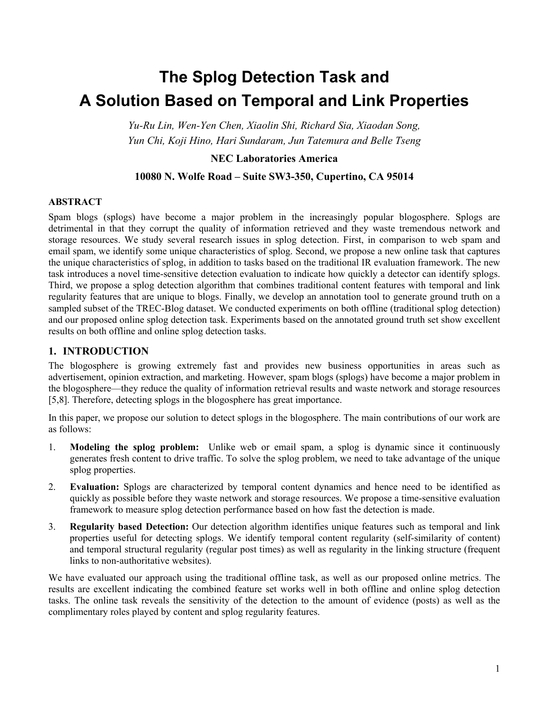# **The Splog Detection Task and A Solution Based on Temporal and Link Properties**

*Yu-Ru Lin, Wen-Yen Chen, Xiaolin Shi, Richard Sia, Xiaodan Song, Yun Chi, Koji Hino, Hari Sundaram, Jun Tatemura and Belle Tseng* 

## **NEC Laboratories America**

### **10080 N. Wolfe Road – Suite SW3-350, Cupertino, CA 95014**

#### **ABSTRACT**

Spam blogs (splogs) have become a major problem in the increasingly popular blogosphere. Splogs are detrimental in that they corrupt the quality of information retrieved and they waste tremendous network and storage resources. We study several research issues in splog detection. First, in comparison to web spam and email spam, we identify some unique characteristics of splog. Second, we propose a new online task that captures the unique characteristics of splog, in addition to tasks based on the traditional IR evaluation framework. The new task introduces a novel time-sensitive detection evaluation to indicate how quickly a detector can identify splogs. Third, we propose a splog detection algorithm that combines traditional content features with temporal and link regularity features that are unique to blogs. Finally, we develop an annotation tool to generate ground truth on a sampled subset of the TREC-Blog dataset. We conducted experiments on both offline (traditional splog detection) and our proposed online splog detection task. Experiments based on the annotated ground truth set show excellent results on both offline and online splog detection tasks.

## **1. INTRODUCTION**

The blogosphere is growing extremely fast and provides new business opportunities in areas such as advertisement, opinion extraction, and marketing. However, spam blogs (splogs) have become a major problem in the blogosphere—they reduce the quality of information retrieval results and waste network and storage resources [5,8]. Therefore, detecting splogs in the blogosphere has great importance.

In this paper, we propose our solution to detect splogs in the blogosphere. The main contributions of our work are as follows:

- 1. **Modeling the splog problem:** Unlike web or email spam, a splog is dynamic since it continuously generates fresh content to drive traffic. To solve the splog problem, we need to take advantage of the unique splog properties.
- 2. **Evaluation:** Splogs are characterized by temporal content dynamics and hence need to be identified as quickly as possible before they waste network and storage resources. We propose a time-sensitive evaluation framework to measure splog detection performance based on how fast the detection is made.
- 3. **Regularity based Detection:** Our detection algorithm identifies unique features such as temporal and link properties useful for detecting splogs. We identify temporal content regularity (self-similarity of content) and temporal structural regularity (regular post times) as well as regularity in the linking structure (frequent links to non-authoritative websites).

We have evaluated our approach using the traditional offline task, as well as our proposed online metrics. The results are excellent indicating the combined feature set works well in both offline and online splog detection tasks. The online task reveals the sensitivity of the detection to the amount of evidence (posts) as well as the complimentary roles played by content and splog regularity features.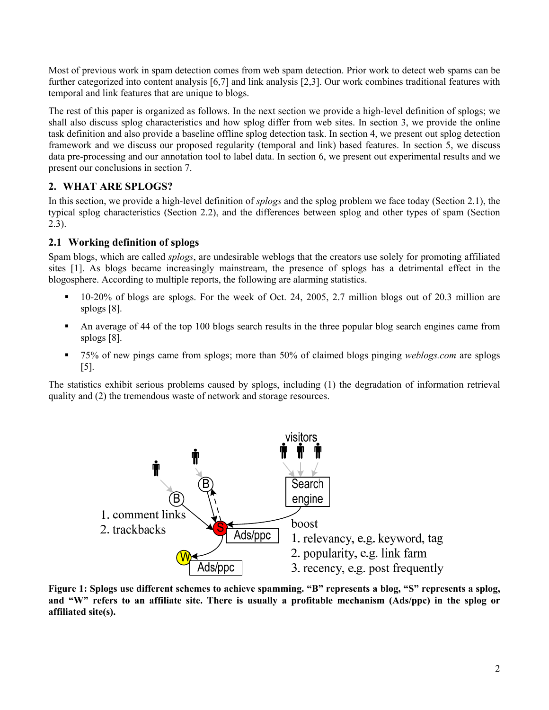Most of previous work in spam detection comes from web spam detection. Prior work to detect web spams can be further categorized into content analysis [6,7] and link analysis [2,3]. Our work combines traditional features with temporal and link features that are unique to blogs.

The rest of this paper is organized as follows. In the next section we provide a high-level definition of splogs; we shall also discuss splog characteristics and how splog differ from web sites. In section 3, we provide the online task definition and also provide a baseline offline splog detection task. In section 4, we present out splog detection framework and we discuss our proposed regularity (temporal and link) based features. In section 5, we discuss data pre-processing and our annotation tool to label data. In section 6, we present out experimental results and we present our conclusions in section 7.

# **2. WHAT ARE SPLOGS?**

In this section, we provide a high-level definition of *splogs* and the splog problem we face today (Section 2.1), the typical splog characteristics (Section 2.2), and the differences between splog and other types of spam (Section 2.3).

# **2.1 Working definition of splogs**

Spam blogs, which are called *splogs*, are undesirable weblogs that the creators use solely for promoting affiliated sites [1]. As blogs became increasingly mainstream, the presence of splogs has a detrimental effect in the blogosphere. According to multiple reports, the following are alarming statistics.

- 10-20% of blogs are splogs. For the week of Oct. 24, 2005, 2.7 million blogs out of 20.3 million are splogs [8].
- An average of 44 of the top 100 blogs search results in the three popular blog search engines came from splogs [8].
- 75% of new pings came from splogs; more than 50% of claimed blogs pinging *weblogs.com* are splogs [5].

The statistics exhibit serious problems caused by splogs, including (1) the degradation of information retrieval quality and (2) the tremendous waste of network and storage resources.



**Figure 1: Splogs use different schemes to achieve spamming. "B" represents a blog, "S" represents a splog, and "W" refers to an affiliate site. There is usually a profitable mechanism (Ads/ppc) in the splog or affiliated site(s).**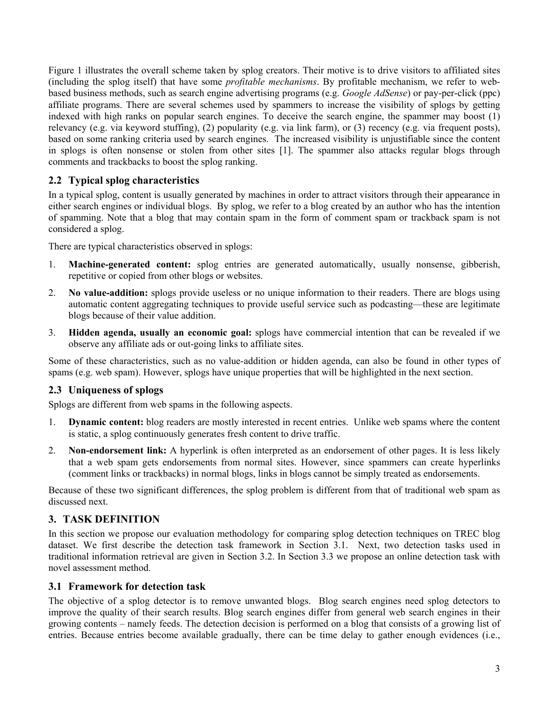Figure 1 illustrates the overall scheme taken by splog creators. Their motive is to drive visitors to affiliated sites (including the splog itself) that have some *profitable mechanisms*. By profitable mechanism, we refer to webbased business methods, such as search engine advertising programs (e.g. *Google AdSense*) or pay-per-click (ppc) affiliate programs. There are several schemes used by spammers to increase the visibility of splogs by getting indexed with high ranks on popular search engines. To deceive the search engine, the spammer may boost (1) relevancy (e.g. via keyword stuffing), (2) popularity (e.g. via link farm), or (3) recency (e.g. via frequent posts), based on some ranking criteria used by search engines. The increased visibility is unjustifiable since the content in splogs is often nonsense or stolen from other sites [1]. The spammer also attacks regular blogs through comments and trackbacks to boost the splog ranking.

# **2.2 Typical splog characteristics**

In a typical splog, content is usually generated by machines in order to attract visitors through their appearance in either search engines or individual blogs. By splog, we refer to a blog created by an author who has the intention of spamming. Note that a blog that may contain spam in the form of comment spam or trackback spam is not considered a splog.

There are typical characteristics observed in splogs:

- 1. **Machine-generated content:** splog entries are generated automatically, usually nonsense, gibberish, repetitive or copied from other blogs or websites.
- 2. **No value-addition:** splogs provide useless or no unique information to their readers. There are blogs using automatic content aggregating techniques to provide useful service such as podcasting—these are legitimate blogs because of their value addition.
- 3. **Hidden agenda, usually an economic goal:** splogs have commercial intention that can be revealed if we observe any affiliate ads or out-going links to affiliate sites.

Some of these characteristics, such as no value-addition or hidden agenda, can also be found in other types of spams (e.g. web spam). However, splogs have unique properties that will be highlighted in the next section.

# **2.3 Uniqueness of splogs**

Splogs are different from web spams in the following aspects.

- 1. **Dynamic content:** blog readers are mostly interested in recent entries. Unlike web spams where the content is static, a splog continuously generates fresh content to drive traffic.
- 2. **Non-endorsement link:** A hyperlink is often interpreted as an endorsement of other pages. It is less likely that a web spam gets endorsements from normal sites. However, since spammers can create hyperlinks (comment links or trackbacks) in normal blogs, links in blogs cannot be simply treated as endorsements.

Because of these two significant differences, the splog problem is different from that of traditional web spam as discussed next.

## **3. TASK DEFINITION**

In this section we propose our evaluation methodology for comparing splog detection techniques on TREC blog dataset. We first describe the detection task framework in Section 3.1. Next, two detection tasks used in traditional information retrieval are given in Section 3.2. In Section 3.3 we propose an online detection task with novel assessment method.

# **3.1 Framework for detection task**

The objective of a splog detector is to remove unwanted blogs. Blog search engines need splog detectors to improve the quality of their search results. Blog search engines differ from general web search engines in their growing contents – namely feeds. The detection decision is performed on a blog that consists of a growing list of entries. Because entries become available gradually, there can be time delay to gather enough evidences (i.e.,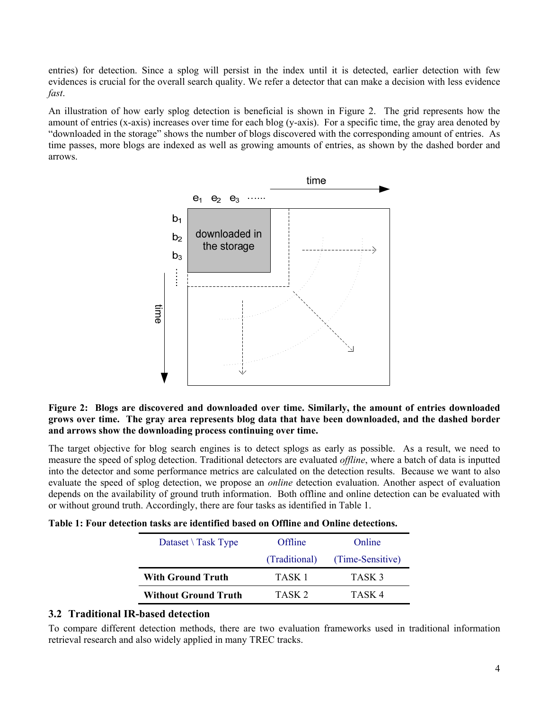entries) for detection. Since a splog will persist in the index until it is detected, earlier detection with few evidences is crucial for the overall search quality. We refer a detector that can make a decision with less evidence *fast*.

An illustration of how early splog detection is beneficial is shown in Figure 2. The grid represents how the amount of entries (x-axis) increases over time for each blog (y-axis). For a specific time, the gray area denoted by "downloaded in the storage" shows the number of blogs discovered with the corresponding amount of entries. As time passes, more blogs are indexed as well as growing amounts of entries, as shown by the dashed border and arrows.



### **Figure 2: Blogs are discovered and downloaded over time. Similarly, the amount of entries downloaded grows over time. The gray area represents blog data that have been downloaded, and the dashed border and arrows show the downloading process continuing over time.**

The target objective for blog search engines is to detect splogs as early as possible. As a result, we need to measure the speed of splog detection. Traditional detectors are evaluated *offline*, where a batch of data is inputted into the detector and some performance metrics are calculated on the detection results. Because we want to also evaluate the speed of splog detection, we propose an *online* detection evaluation. Another aspect of evaluation depends on the availability of ground truth information. Both offline and online detection can be evaluated with or without ground truth. Accordingly, there are four tasks as identified in Table 1.

**Table 1: Four detection tasks are identified based on Offline and Online detections.** 

| Dataset $\setminus$ Task Type | Offline       | Online            |  |
|-------------------------------|---------------|-------------------|--|
|                               | (Traditional) | (Time-Sensitive)  |  |
| <b>With Ground Truth</b>      | TASK 1        | TASK <sub>3</sub> |  |
|                               |               |                   |  |

## **3.2 Traditional IR-based detection**

To compare different detection methods, there are two evaluation frameworks used in traditional information retrieval research and also widely applied in many TREC tracks.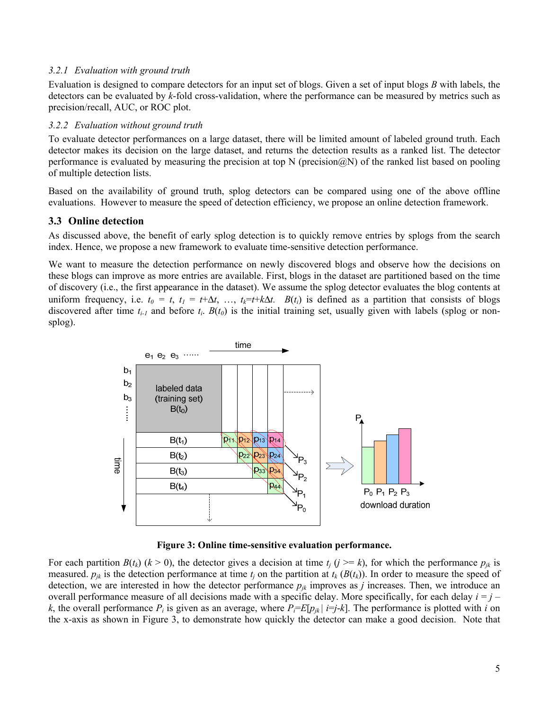#### *3.2.1 Evaluation with ground truth*

Evaluation is designed to compare detectors for an input set of blogs. Given a set of input blogs *B* with labels, the detectors can be evaluated by *k*-fold cross-validation, where the performance can be measured by metrics such as precision/recall, AUC, or ROC plot.

#### *3.2.2 Evaluation without ground truth*

To evaluate detector performances on a large dataset, there will be limited amount of labeled ground truth. Each detector makes its decision on the large dataset, and returns the detection results as a ranked list. The detector performance is evaluated by measuring the precision at top N (precision@N) of the ranked list based on pooling of multiple detection lists.

Based on the availability of ground truth, splog detectors can be compared using one of the above offline evaluations. However to measure the speed of detection efficiency, we propose an online detection framework.

#### **3.3 Online detection**

As discussed above, the benefit of early splog detection is to quickly remove entries by splogs from the search index. Hence, we propose a new framework to evaluate time-sensitive detection performance.

We want to measure the detection performance on newly discovered blogs and observe how the decisions on these blogs can improve as more entries are available. First, blogs in the dataset are partitioned based on the time of discovery (i.e., the first appearance in the dataset). We assume the splog detector evaluates the blog contents at uniform frequency, i.e.  $t_0 = t$ ,  $t_1 = t + \Delta t$ , …,  $t_k = t + k\Delta t$ .  $B(t_i)$  is defined as a partition that consists of blogs discovered after time  $t_{i-1}$  and before  $t_i$ .  $B(t_0)$  is the initial training set, usually given with labels (splog or nonsplog).



**Figure 3: Online time-sensitive evaluation performance.** 

For each partition  $B(t_k)$  ( $k > 0$ ), the detector gives a decision at time  $t_i$  ( $j \ge k$ ), for which the performance  $p_{ik}$  is measured.  $p_{ik}$  is the detection performance at time  $t_i$  on the partition at  $t_k$  ( $B(t_k)$ ). In order to measure the speed of detection, we are interested in how the detector performance  $p_{jk}$  improves as *j* increases. Then, we introduce an overall performance measure of all decisions made with a specific delay. More specifically, for each delay  $i = j$ *k*, the overall performance  $P_i$  is given as an average, where  $P_i = E[p_{ik} | i = j - k]$ . The performance is plotted with *i* on the x-axis as shown in Figure 3, to demonstrate how quickly the detector can make a good decision. Note that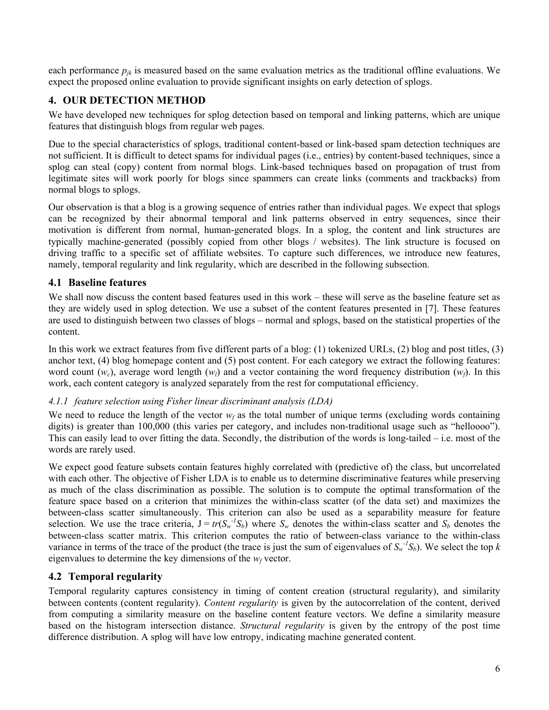each performance  $p_{jk}$  is measured based on the same evaluation metrics as the traditional offline evaluations. We expect the proposed online evaluation to provide significant insights on early detection of splogs.

# **4. OUR DETECTION METHOD**

We have developed new techniques for splog detection based on temporal and linking patterns, which are unique features that distinguish blogs from regular web pages.

Due to the special characteristics of splogs, traditional content-based or link-based spam detection techniques are not sufficient. It is difficult to detect spams for individual pages (i.e., entries) by content-based techniques, since a splog can steal (copy) content from normal blogs. Link-based techniques based on propagation of trust from legitimate sites will work poorly for blogs since spammers can create links (comments and trackbacks) from normal blogs to splogs.

Our observation is that a blog is a growing sequence of entries rather than individual pages. We expect that splogs can be recognized by their abnormal temporal and link patterns observed in entry sequences, since their motivation is different from normal, human-generated blogs. In a splog, the content and link structures are typically machine-generated (possibly copied from other blogs / websites). The link structure is focused on driving traffic to a specific set of affiliate websites. To capture such differences, we introduce new features, namely, temporal regularity and link regularity, which are described in the following subsection.

# **4.1 Baseline features**

We shall now discuss the content based features used in this work – these will serve as the baseline feature set as they are widely used in splog detection. We use a subset of the content features presented in [7]. These features are used to distinguish between two classes of blogs – normal and splogs, based on the statistical properties of the content.

In this work we extract features from five different parts of a blog: (1) tokenized URLs, (2) blog and post titles, (3) anchor text, (4) blog homepage content and (5) post content. For each category we extract the following features: word count  $(w_c)$ , average word length  $(w_l)$  and a vector containing the word frequency distribution  $(w_f)$ . In this work, each content category is analyzed separately from the rest for computational efficiency.

## *4.1.1 feature selection using Fisher linear discriminant analysis (LDA)*

We need to reduce the length of the vector  $w_f$  as the total number of unique terms (excluding words containing digits) is greater than 100,000 (this varies per category, and includes non-traditional usage such as "helloooo"). This can easily lead to over fitting the data. Secondly, the distribution of the words is long-tailed – i.e. most of the words are rarely used.

We expect good feature subsets contain features highly correlated with (predictive of) the class, but uncorrelated with each other. The objective of Fisher LDA is to enable us to determine discriminative features while preserving as much of the class discrimination as possible. The solution is to compute the optimal transformation of the feature space based on a criterion that minimizes the within-class scatter (of the data set) and maximizes the between-class scatter simultaneously. This criterion can also be used as a separability measure for feature selection. We use the trace criteria,  $J = tr(S_w^{-1}S_b)$  where  $S_w$  denotes the within-class scatter and  $S_b$  denotes the between-class scatter matrix. This criterion computes the ratio of between-class variance to the within-class variance in terms of the trace of the product (the trace is just the sum of eigenvalues of  $S_w^{-1}S_b$ ). We select the top *k* eigenvalues to determine the key dimensions of the  $w_f$  vector.

# **4.2 Temporal regularity**

Temporal regularity captures consistency in timing of content creation (structural regularity), and similarity between contents (content regularity). *Content regularity* is given by the autocorrelation of the content, derived from computing a similarity measure on the baseline content feature vectors. We define a similarity measure based on the histogram intersection distance. *Structural regularity* is given by the entropy of the post time difference distribution. A splog will have low entropy, indicating machine generated content.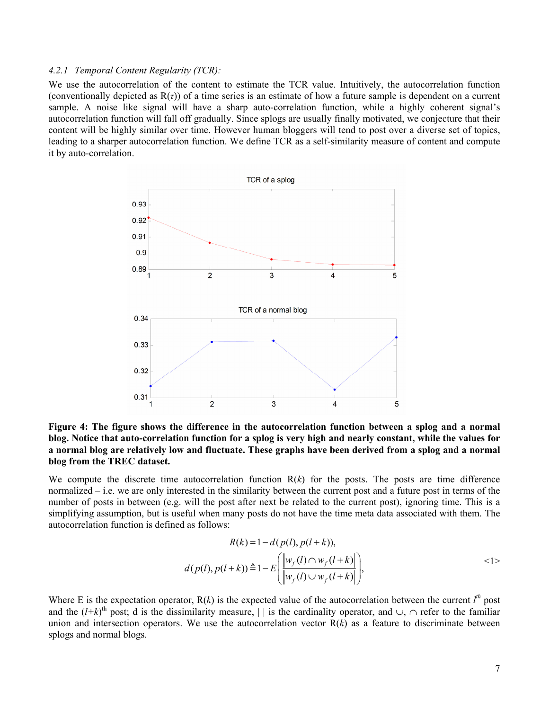#### *4.2.1 Temporal Content Regularity (TCR):*

We use the autocorrelation of the content to estimate the TCR value. Intuitively, the autocorrelation function (conventionally depicted as  $R(\tau)$ ) of a time series is an estimate of how a future sample is dependent on a current sample. A noise like signal will have a sharp auto-correlation function, while a highly coherent signal's autocorrelation function will fall off gradually. Since splogs are usually finally motivated, we conjecture that their content will be highly similar over time. However human bloggers will tend to post over a diverse set of topics, leading to a sharper autocorrelation function. We define TCR as a self-similarity measure of content and compute it by auto-correlation.



**Figure 4: The figure shows the difference in the autocorrelation function between a splog and a normal blog. Notice that auto-correlation function for a splog is very high and nearly constant, while the values for a normal blog are relatively low and fluctuate. These graphs have been derived from a splog and a normal blog from the TREC dataset.** 

We compute the discrete time autocorrelation function  $R(k)$  for the posts. The posts are time difference normalized – i.e. we are only interested in the similarity between the current post and a future post in terms of the number of posts in between (e.g. will the post after next be related to the current post), ignoring time. This is a simplifying assumption, but is useful when many posts do not have the time meta data associated with them. The autocorrelation function is defined as follows:

$$
R(k) = 1 - d(p(l), p(l+k)),
$$
  
\n
$$
d(p(l), p(l+k)) \triangleq 1 - E\left(\frac{|w_f(l) \cap w_f(l+k)|}{|w_f(l) \cup w_f(l+k)|}\right),
$$
\n<sup>(1)</sup>

Where E is the expectation operator,  $R(k)$  is the expected value of the autocorrelation between the current  $l^{th}$  post and the  $(l+k)$ <sup>th</sup> post; d is the dissimilarity measure, | | is the cardinality operator, and ∪, ∩ refer to the familiar union and intersection operators. We use the autocorrelation vector  $R(k)$  as a feature to discriminate between splogs and normal blogs.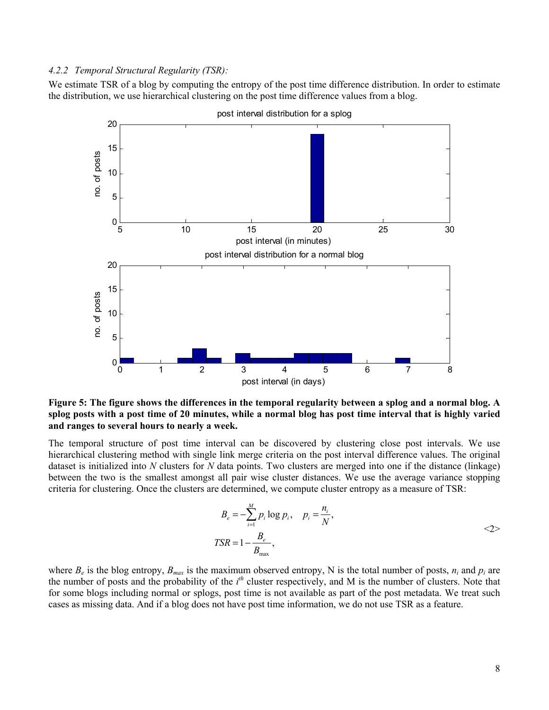#### *4.2.2 Temporal Structural Regularity (TSR):*

We estimate TSR of a blog by computing the entropy of the post time difference distribution. In order to estimate the distribution, we use hierarchical clustering on the post time difference values from a blog.



post interval distribution for a splog

**Figure 5: The figure shows the differences in the temporal regularity between a splog and a normal blog. A splog posts with a post time of 20 minutes, while a normal blog has post time interval that is highly varied and ranges to several hours to nearly a week.** 

The temporal structure of post time interval can be discovered by clustering close post intervals. We use hierarchical clustering method with single link merge criteria on the post interval difference values. The original dataset is initialized into *N* clusters for *N* data points. Two clusters are merged into one if the distance (linkage) between the two is the smallest amongst all pair wise cluster distances. We use the average variance stopping criteria for clustering. Once the clusters are determined, we compute cluster entropy as a measure of TSR:

$$
B_e = -\sum_{i=1}^{M} p_i \log p_i, \quad p_i = \frac{n_i}{N},
$$
  
\n
$$
TSR = 1 - \frac{B_e}{B_{\text{max}}},
$$

where  $B_e$  is the blog entropy,  $B_{max}$  is the maximum observed entropy, N is the total number of posts,  $n_i$  and  $p_i$  are the number of posts and the probability of the *i th* cluster respectively, and M is the number of clusters. Note that for some blogs including normal or splogs, post time is not available as part of the post metadata. We treat such cases as missing data. And if a blog does not have post time information, we do not use TSR as a feature.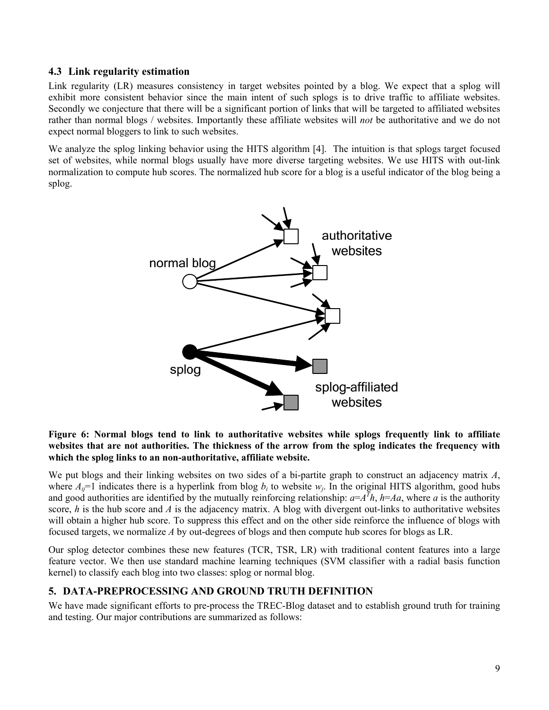## **4.3 Link regularity estimation**

Link regularity (LR) measures consistency in target websites pointed by a blog. We expect that a splog will exhibit more consistent behavior since the main intent of such splogs is to drive traffic to affiliate websites. Secondly we conjecture that there will be a significant portion of links that will be targeted to affiliated websites rather than normal blogs / websites. Importantly these affiliate websites will *not* be authoritative and we do not expect normal bloggers to link to such websites.

We analyze the splog linking behavior using the HITS algorithm [4]. The intuition is that splogs target focused set of websites, while normal blogs usually have more diverse targeting websites. We use HITS with out-link normalization to compute hub scores. The normalized hub score for a blog is a useful indicator of the blog being a splog.



**Figure 6: Normal blogs tend to link to authoritative websites while splogs frequently link to affiliate websites that are not authorities. The thickness of the arrow from the splog indicates the frequency with which the splog links to an non-authoritative, affiliate website.** 

We put blogs and their linking websites on two sides of a bi-partite graph to construct an adjacency matrix *A*, where  $A_{ij}=1$  indicates there is a hyperlink from blog  $b_i$  to website  $w_i$ . In the original HITS algorithm, good hubs and good authorities are identified by the mutually reinforcing relationship:  $a = A^T h$ ,  $h = Aa$ , where *a* is the authority score,  $h$  is the hub score and  $A$  is the adjacency matrix. A blog with divergent out-links to authoritative websites will obtain a higher hub score. To suppress this effect and on the other side reinforce the influence of blogs with focused targets, we normalize *A* by out-degrees of blogs and then compute hub scores for blogs as LR.

Our splog detector combines these new features (TCR, TSR, LR) with traditional content features into a large feature vector. We then use standard machine learning techniques (SVM classifier with a radial basis function kernel) to classify each blog into two classes: splog or normal blog.

## **5. DATA-PREPROCESSING AND GROUND TRUTH DEFINITION**

We have made significant efforts to pre-process the TREC-Blog dataset and to establish ground truth for training and testing. Our major contributions are summarized as follows: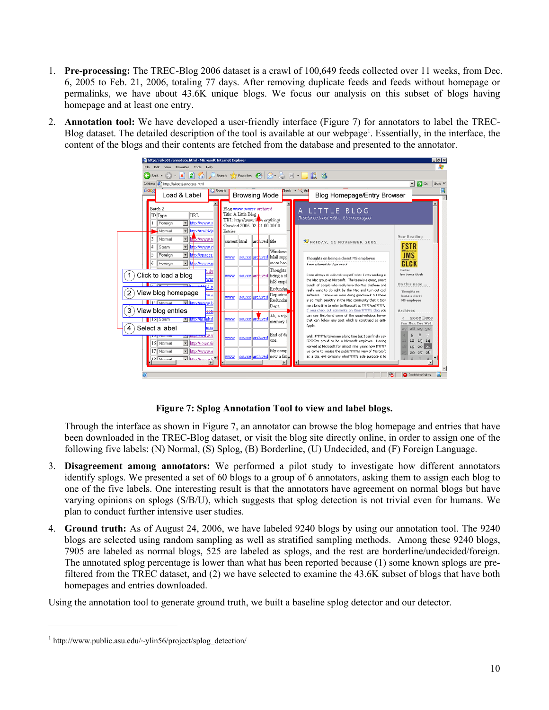- 1. **Pre-processing:** The TREC-Blog 2006 dataset is a crawl of 100,649 feeds collected over 11 weeks, from Dec. 6, 2005 to Feb. 21, 2006, totaling 77 days. After removing duplicate feeds and feeds without homepage or permalinks, we have about 43.6K unique blogs. We focus our analysis on this subset of blogs having homepage and at least one entry.
- 2. **Annotation tool:** We have developed a user-friendly interface (Figure 7) for annotators to label the TREC-Blog dataset. The detailed description of the tool is available at our webpage<sup>1</sup>. Essentially, in the interface, the content of the blogs and their contents are fetched from the database and presented to the annotator.



**Figure 7: Splog Annotation Tool to view and label blogs.** 

Through the interface as shown in Figure 7, an annotator can browse the blog homepage and entries that have been downloaded in the TREC-Blog dataset, or visit the blog site directly online, in order to assign one of the following five labels: (N) Normal, (S) Splog, (B) Borderline, (U) Undecided, and (F) Foreign Language.

- 3. **Disagreement among annotators:** We performed a pilot study to investigate how different annotators identify splogs. We presented a set of 60 blogs to a group of 6 annotators, asking them to assign each blog to one of the five labels. One interesting result is that the annotators have agreement on normal blogs but have varying opinions on splogs (S/B/U), which suggests that splog detection is not trivial even for humans. We plan to conduct further intensive user studies.
- 4. **Ground truth:** As of August 24, 2006, we have labeled 9240 blogs by using our annotation tool. The 9240 blogs are selected using random sampling as well as stratified sampling methods. Among these 9240 blogs, 7905 are labeled as normal blogs, 525 are labeled as splogs, and the rest are borderline/undecided/foreign. The annotated splog percentage is lower than what has been reported because (1) some known splogs are prefiltered from the TREC dataset, and (2) we have selected to examine the 43.6K subset of blogs that have both homepages and entries downloaded.

Using the annotation tool to generate ground truth, we built a baseline splog detector and our detector.

 $\overline{a}$ 

<sup>&</sup>lt;sup>1</sup> http://www.public.asu.edu/~ylin56/project/splog\_detection/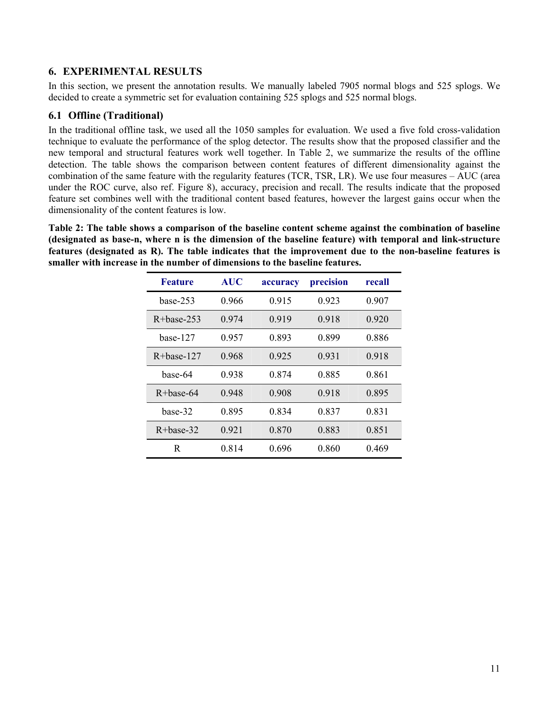# **6. EXPERIMENTAL RESULTS**

In this section, we present the annotation results. We manually labeled 7905 normal blogs and 525 splogs. We decided to create a symmetric set for evaluation containing 525 splogs and 525 normal blogs.

# **6.1 Offline (Traditional)**

In the traditional offline task, we used all the 1050 samples for evaluation. We used a five fold cross-validation technique to evaluate the performance of the splog detector. The results show that the proposed classifier and the new temporal and structural features work well together. In Table 2, we summarize the results of the offline detection. The table shows the comparison between content features of different dimensionality against the combination of the same feature with the regularity features (TCR, TSR, LR). We use four measures – AUC (area under the ROC curve, also ref. Figure 8), accuracy, precision and recall. The results indicate that the proposed feature set combines well with the traditional content based features, however the largest gains occur when the dimensionality of the content features is low.

**Table 2: The table shows a comparison of the baseline content scheme against the combination of baseline (designated as base-n, where n is the dimension of the baseline feature) with temporal and link-structure features (designated as R). The table indicates that the improvement due to the non-baseline features is smaller with increase in the number of dimensions to the baseline features.** 

| <b>Feature</b>  | <b>AUC</b> | accuracy | precision | recall |
|-----------------|------------|----------|-----------|--------|
| hase-253        | 0.966      | 0.915    | 0.923     | 0.907  |
| $R+base-253$    | 0.974      | 0.919    | 0.918     | 0.920  |
| <b>base-127</b> | 0.957      | 0.893    | 0.899     | 0.886  |
| $R+base-127$    | 0.968      | 0.925    | 0.931     | 0.918  |
| base-64         | 0.938      | 0.874    | 0.885     | 0.861  |
| $R+base-64$     | 0.948      | 0.908    | 0.918     | 0.895  |
| hase-32         | 0.895      | 0.834    | 0.837     | 0.831  |
| $R+base-32$     | 0.921      | 0.870    | 0.883     | 0.851  |
| R               | 0.814      | 0.696    | 0.860     | 0.469  |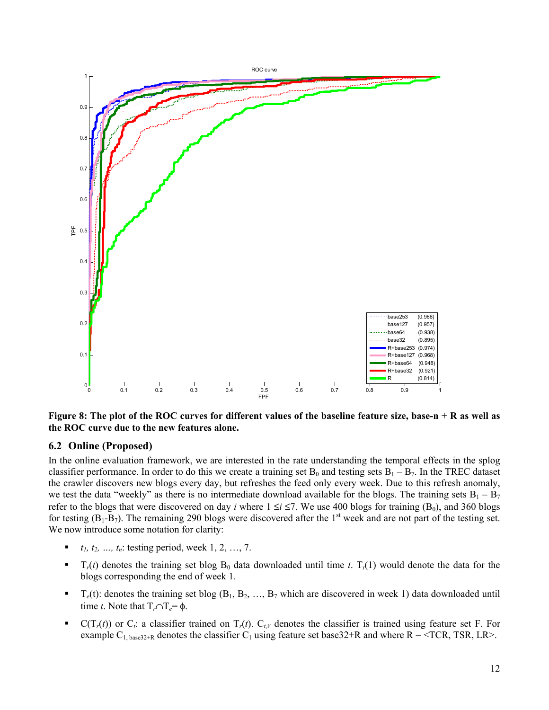

**Figure 8: The plot of the ROC curves for different values of the baseline feature size, base-n + R as well as the ROC curve due to the new features alone.** 

## **6.2 Online (Proposed)**

In the online evaluation framework, we are interested in the rate understanding the temporal effects in the splog classifier performance. In order to do this we create a training set  $B_0$  and testing sets  $B_1 - B_7$ . In the TREC dataset the crawler discovers new blogs every day, but refreshes the feed only every week. Due to this refresh anomaly, we test the data "weekly" as there is no intermediate download available for the blogs. The training sets  $B_1 - B_7$ refer to the blogs that were discovered on day *i* where  $1 \le i \le 7$ . We use 400 blogs for training (B<sub>0</sub>), and 360 blogs for testing  $(B_1-B_7)$ . The remaining 290 blogs were discovered after the 1<sup>st</sup> week and are not part of the testing set. We now introduce some notation for clarity:

- *t1, t2, …, tn*: testing period, week 1, 2, …, 7.
- $\blacksquare$  T<sub>r</sub>(*t*) denotes the training set blog B<sub>0</sub> data downloaded until time *t*. T<sub>r</sub>(1) would denote the data for the blogs corresponding the end of week 1.
- $T_e(t)$ : denotes the training set blog  $(B_1, B_2, ..., B_7)$  which are discovered in week 1) data downloaded until time *t*. Note that  $T_r \cap T_e = \phi$ .
- $C(T_r(t))$  or  $C_t$ : a classifier trained on  $T_r(t)$ .  $C_{t,F}$  denotes the classifier is trained using feature set F. For example  $C_{1, \text{base32+R}}$  denotes the classifier  $C_1$  using feature set base 32+R and where R = <TCR, TSR, LR>.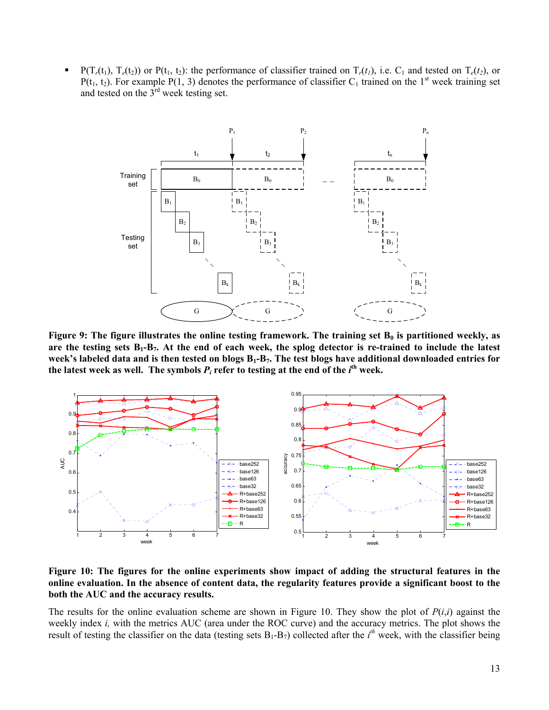$P(T_r(t_1), T_e(t_2))$  or  $P(t_1, t_2)$ : the performance of classifier trained on  $T_r(t_1)$ , i.e.  $C_1$  and tested on  $T_e(t_2)$ , or  $P(t_1, t_2)$ . For example P(1, 3) denotes the performance of classifier C<sub>1</sub> trained on the 1<sup>st</sup> week training set and tested on the 3rd week testing set.



Figure 9: The figure illustrates the online testing framework. The training set B<sub>0</sub> is partitioned weekly, as are the testing sets  $B_1 - B_7$ . At the end of each week, the splog detector is re-trained to include the latest week's labeled data and is then tested on blogs B<sub>1</sub>-B<sub>7</sub>. The test blogs have additional downloaded entries for the latest week as well. The symbols  $P_i$  refer to testing at the end of the  $i^{\text{th}}$  week.



**Figure 10: The figures for the online experiments show impact of adding the structural features in the online evaluation. In the absence of content data, the regularity features provide a significant boost to the both the AUC and the accuracy results.** 

The results for the online evaluation scheme are shown in Figure 10. They show the plot of  $P(i,i)$  against the weekly index *i,* with the metrics AUC (area under the ROC curve) and the accuracy metrics. The plot shows the result of testing the classifier on the data (testing sets  $B_1 - B_7$ ) collected after the  $i<sup>th</sup>$  week, with the classifier being